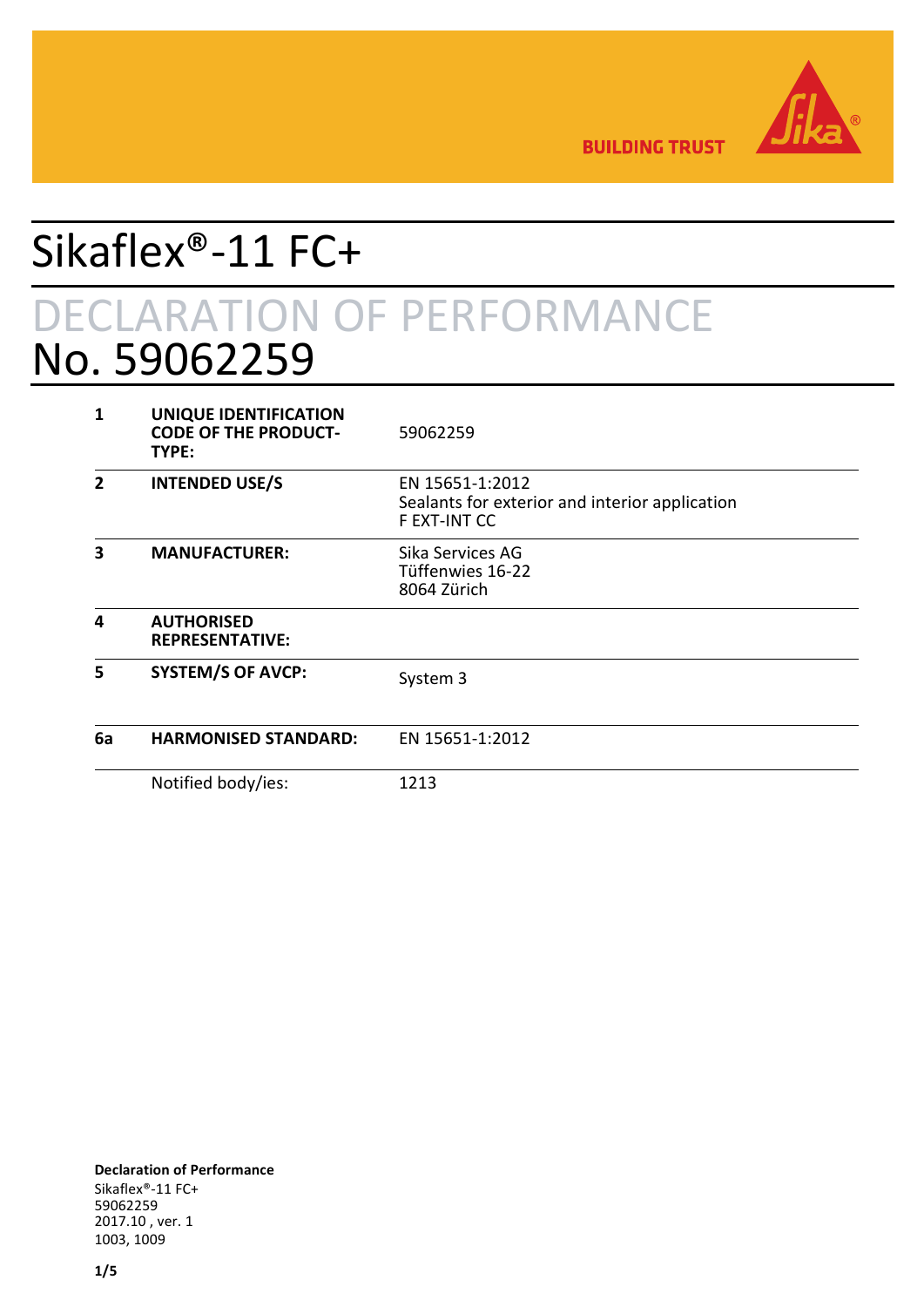

**BUILDING TRUST** 

# Sikaflex®-11 FC+ DECLARATION OF PERFORMANCE No. 59062259

| 1              | UNIQUE IDENTIFICATION<br><b>CODE OF THE PRODUCT-</b><br>TYPE: | 59062259                                                                          |
|----------------|---------------------------------------------------------------|-----------------------------------------------------------------------------------|
| $\overline{2}$ | <b>INTENDED USE/S</b>                                         | EN 15651-1:2012<br>Sealants for exterior and interior application<br>F EXT-INT CC |
| 3              | <b>MANUFACTURER:</b>                                          | Sika Services AG<br>Tüffenwies 16-22<br>8064 Zürich                               |
| 4              | <b>AUTHORISED</b><br><b>REPRESENTATIVE:</b>                   |                                                                                   |
| 5              | <b>SYSTEM/S OF AVCP:</b>                                      | System 3                                                                          |
| 6a             | <b>HARMONISED STANDARD:</b>                                   | EN 15651-1:2012                                                                   |
|                | Notified body/ies:                                            | 1213                                                                              |

**Declaration of Performance** Sikaflex®-11 FC+ 59062259 2017.10 , ver. 1 1003, 1009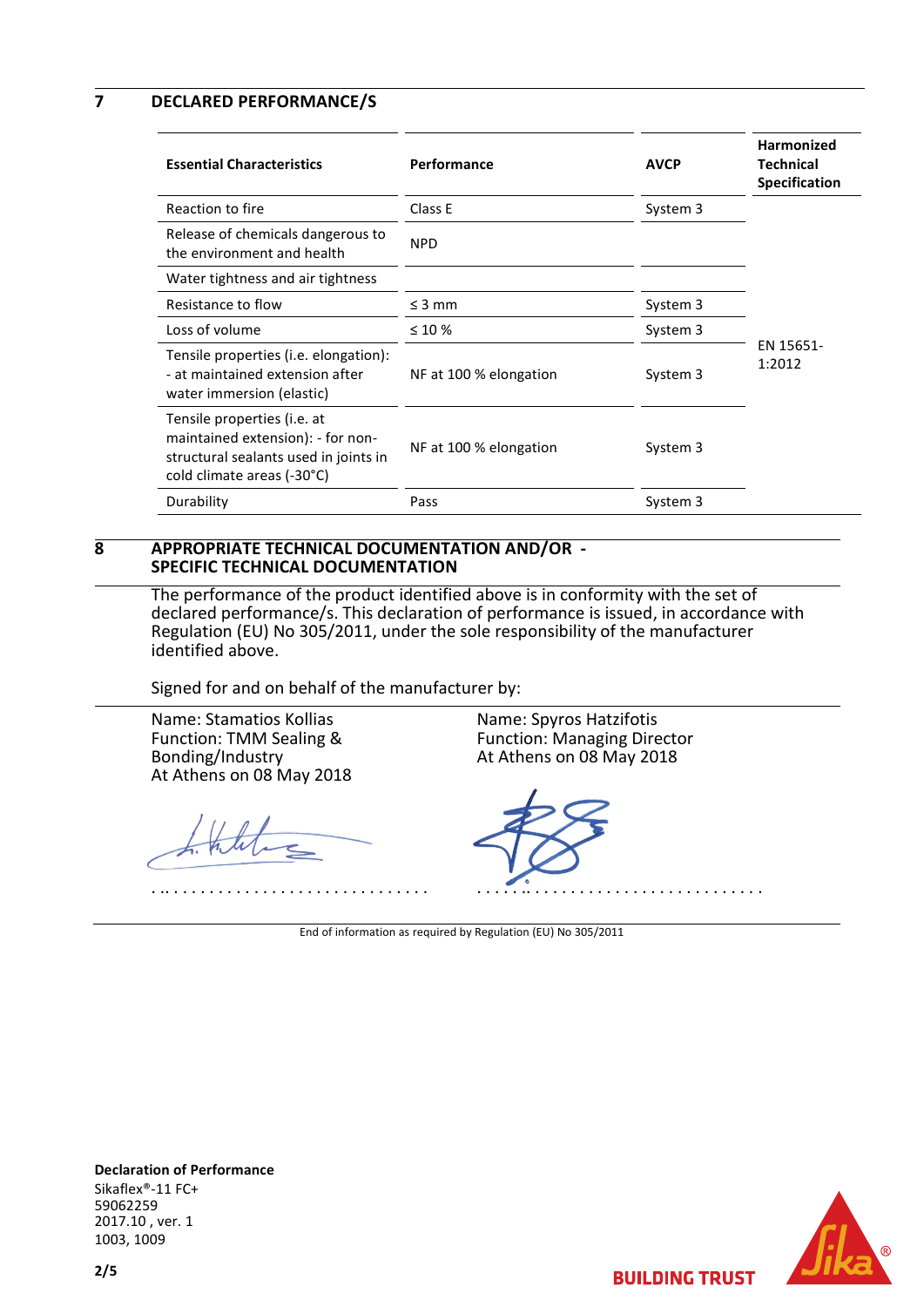**7 DECLARED PERFORMANCE/S**

| <b>Essential Characteristics</b>                                                                                                        | Performance            | <b>AVCP</b> | Harmonized<br><b>Technical</b><br><b>Specification</b> |
|-----------------------------------------------------------------------------------------------------------------------------------------|------------------------|-------------|--------------------------------------------------------|
| Reaction to fire                                                                                                                        | Class E                | System 3    |                                                        |
| Release of chemicals dangerous to<br>the environment and health                                                                         | <b>NPD</b>             |             |                                                        |
| Water tightness and air tightness                                                                                                       |                        |             |                                                        |
| Resistance to flow                                                                                                                      | $\leq$ 3 mm            | System 3    |                                                        |
| Loss of volume                                                                                                                          | $\leq 10\%$            | System 3    |                                                        |
| Tensile properties (i.e. elongation):<br>- at maintained extension after<br>water immersion (elastic)                                   | NF at 100 % elongation | System 3    | EN 15651-<br>1:2012                                    |
| Tensile properties (i.e. at<br>maintained extension): - for non-<br>structural sealants used in joints in<br>cold climate areas (-30°C) | NF at 100 % elongation | System 3    |                                                        |
| Durability                                                                                                                              | Pass                   | System 3    |                                                        |

#### **8 APPROPRIATE TECHNICAL DOCUMENTATION AND/OR - SPECIFIC TECHNICAL DOCUMENTATION**

The performance of the product identified above is in conformity with the set of declared performance/s. This declaration of performance is issued, in accordance with Regulation (EU) No 305/2011, under the sole responsibility of the manufacturer identified above.

Signed for and on behalf of the manufacturer by:

Name: Stamatios Kollias Function: TMM Sealing & Bonding/Industry At Athens on 08 May 2018

. .. . . . . . . . . . . . . . . . . . . . . . . . . . . . . .

Name: Spyros Hatzifotis Function: Managing Director At Athens on 08 May 2018



End of information as required by Regulation (EU) No 305/2011



**Declaration of Performance** Sikaflex®-11 FC+ 59062259 2017.10 , ver. 1 1003, 1009

**BUILDING TRUST**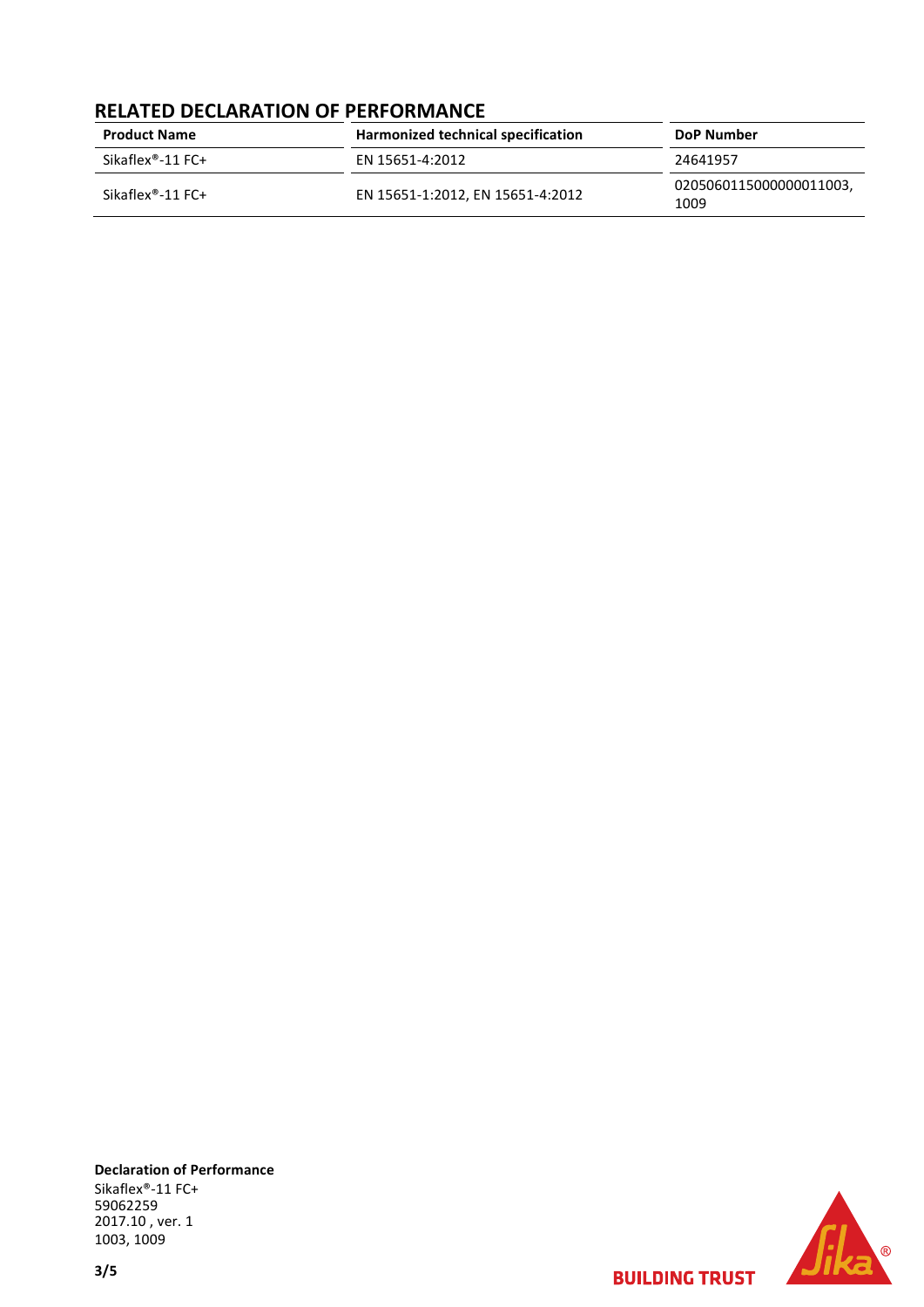### **RELATED DECLARATION OF PERFORMANCE**

| <b>Product Name</b>           | Harmonized technical specification | <b>DoP Number</b>               |
|-------------------------------|------------------------------------|---------------------------------|
| Sikaflex <sup>®</sup> -11 FC+ | EN 15651-4:2012                    | 24641957                        |
| Sikaflex <sup>®</sup> -11 FC+ | EN 15651-1:2012, EN 15651-4:2012   | 0205060115000000011003,<br>1009 |

**Declaration of Performance** Sikaflex®-11 FC+ 59062259 2017.10 , ver. 1 1003, 1009

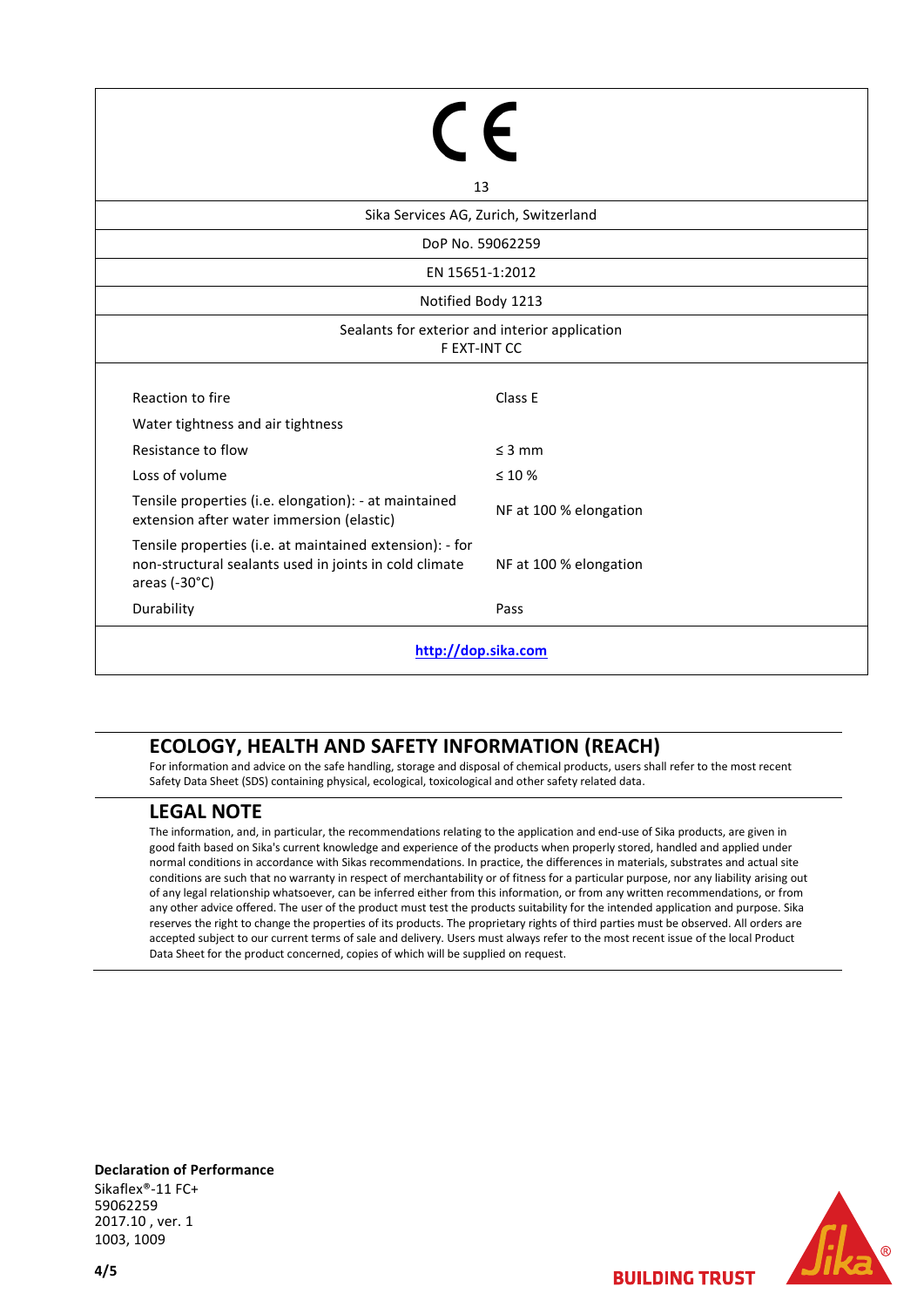| 13                                                                                                                                  |                        |  |  |  |  |
|-------------------------------------------------------------------------------------------------------------------------------------|------------------------|--|--|--|--|
| Sika Services AG, Zurich, Switzerland                                                                                               |                        |  |  |  |  |
| DoP No. 59062259                                                                                                                    |                        |  |  |  |  |
| EN 15651-1:2012                                                                                                                     |                        |  |  |  |  |
| Notified Body 1213                                                                                                                  |                        |  |  |  |  |
| Sealants for exterior and interior application<br>F EXT-INT CC                                                                      |                        |  |  |  |  |
| Reaction to fire                                                                                                                    | Class E                |  |  |  |  |
| Water tightness and air tightness                                                                                                   |                        |  |  |  |  |
| Resistance to flow                                                                                                                  | $\leq$ 3 mm            |  |  |  |  |
| Loss of volume                                                                                                                      | $\leq 10 \%$           |  |  |  |  |
| Tensile properties (i.e. elongation): - at maintained<br>extension after water immersion (elastic)                                  | NF at 100 % elongation |  |  |  |  |
| Tensile properties (i.e. at maintained extension): - for<br>non-structural sealants used in joints in cold climate<br>areas (-30°C) | NF at 100 % elongation |  |  |  |  |
| Durability                                                                                                                          | Pass                   |  |  |  |  |
| http://dop.sika.com                                                                                                                 |                        |  |  |  |  |

## **ECOLOGY, HEALTH AND SAFETY INFORMATION (REACH)**

For information and advice on the safe handling, storage and disposal of chemical products, users shall refer to the most recent Safety Data Sheet (SDS) containing physical, ecological, toxicological and other safety related data.

#### **LEGAL NOTE**

The information, and, in particular, the recommendations relating to the application and end-use of Sika products, are given in good faith based on Sika's current knowledge and experience of the products when properly stored, handled and applied under normal conditions in accordance with Sikas recommendations. In practice, the differences in materials, substrates and actual site conditions are such that no warranty in respect of merchantability or of fitness for a particular purpose, nor any liability arising out of any legal relationship whatsoever, can be inferred either from this information, or from any written recommendations, or from any other advice offered. The user of the product must test the products suitability for the intended application and purpose. Sika reserves the right to change the properties of its products. The proprietary rights of third parties must be observed. All orders are accepted subject to our current terms of sale and delivery. Users must always refer to the most recent issue of the local Product Data Sheet for the product concerned, copies of which will be supplied on request.

**Declaration of Performance** Sikaflex®-11 FC+ 59062259 2017.10 , ver. 1 1003, 1009



**BUILDING TRUST**